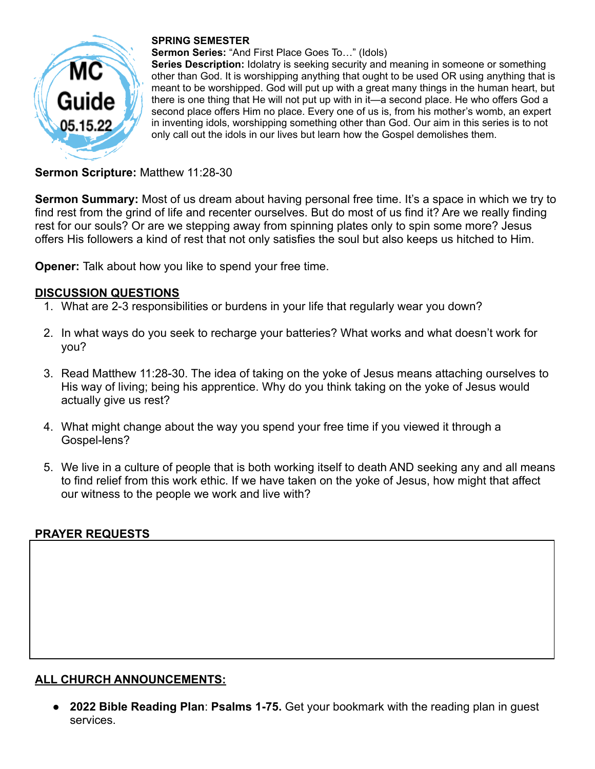

#### **SPRING SEMESTER**

**Sermon Series:** "And First Place Goes To…" (Idols)

**Series Description:** Idolatry is seeking security and meaning in someone or something other than God. It is worshipping anything that ought to be used OR using anything that is meant to be worshipped. God will put up with a great many things in the human heart, but there is one thing that He will not put up with in it—a second place. He who offers God a second place offers Him no place. Every one of us is, from his mother's womb, an expert in inventing idols, worshipping something other than God. Our aim in this series is to not only call out the idols in our lives but learn how the Gospel demolishes them.

## **Sermon Scripture:** Matthew 11:28-30

**Sermon Summary:** Most of us dream about having personal free time. It's a space in which we try to find rest from the grind of life and recenter ourselves. But do most of us find it? Are we really finding rest for our souls? Or are we stepping away from spinning plates only to spin some more? Jesus offers His followers a kind of rest that not only satisfies the soul but also keeps us hitched to Him.

**Opener:** Talk about how you like to spend your free time.

### **DISCUSSION QUESTIONS**

- 1. What are 2-3 responsibilities or burdens in your life that regularly wear you down?
- 2. In what ways do you seek to recharge your batteries? What works and what doesn't work for you?
- 3. Read Matthew 11:28-30. The idea of taking on the yoke of Jesus means attaching ourselves to His way of living; being his apprentice. Why do you think taking on the yoke of Jesus would actually give us rest?
- 4. What might change about the way you spend your free time if you viewed it through a Gospel-lens?
- 5. We live in a culture of people that is both working itself to death AND seeking any and all means to find relief from this work ethic. If we have taken on the yoke of Jesus, how might that affect our witness to the people we work and live with?

### **PRAYER REQUESTS**

# **ALL CHURCH ANNOUNCEMENTS:**

● **2022 Bible Reading Plan**: **Psalms 1-75.** Get your bookmark with the reading plan in guest services.